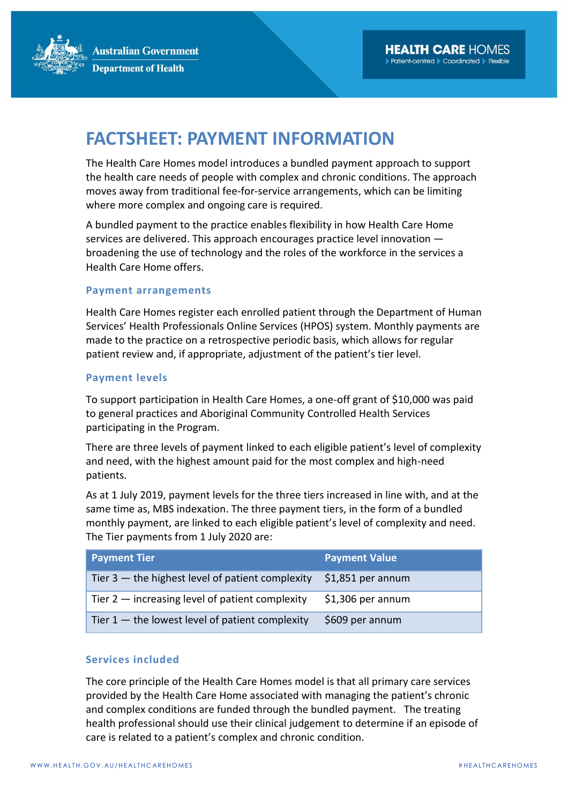**Australian Government Department of Health** 

# **FACTSHEET: PAYMENT INFORMATION**

The Health Care Homes model introduces a bundled payment approach to support the health care needs of people with complex and chronic conditions. The approach moves away from traditional fee-for-service arrangements, which can be limiting where more complex and ongoing care is required.

A bundled payment to the practice enables flexibility in how Health Care Home services are delivered. This approach encourages practice level innovation broadening the use of technology and the roles of the workforce in the services a Health Care Home offers.

#### **Payment arrangements**

Health Care Homes register each enrolled patient through the Department of Human Services' Health Professionals Online Services (HPOS) system. Monthly payments are made to the practice on a retrospective periodic basis, which allows for regular patient review and, if appropriate, adjustment of the patient's tier level.

#### **Payment levels**

To support participation in Health Care Homes, a one-off grant of \$10,000 was paid to general practices and Aboriginal Community Controlled Health Services participating in the Program.

There are three levels of payment linked to each eligible patient's level of complexity and need, with the highest amount paid for the most complex and high-need patients.

As at 1 July 2019, payment levels for the three tiers increased in line with, and at the same time as, MBS indexation. The three payment tiers, in the form of a bundled monthly payment, are linked to each eligible patient's level of complexity and need. The Tier payments from 1 July 2020 are:

| <b>Payment Tier</b>                                | <b>Payment Value</b> |
|----------------------------------------------------|----------------------|
| Tier $3$ — the highest level of patient complexity | $$1,851$ per annum   |
| Tier $2$ - increasing level of patient complexity  | $$1,306$ per annum   |
| Tier $1$ – the lowest level of patient complexity  | \$609 per annum      |

### **Services included**

The core principle of the Health Care Homes model is that all primary care services provided by the Health Care Home associated with managing the patient's chronic and complex conditions are funded through the bundled payment. The treating health professional should use their clinical judgement to determine if an episode of care is related to a patient's complex and chronic condition.